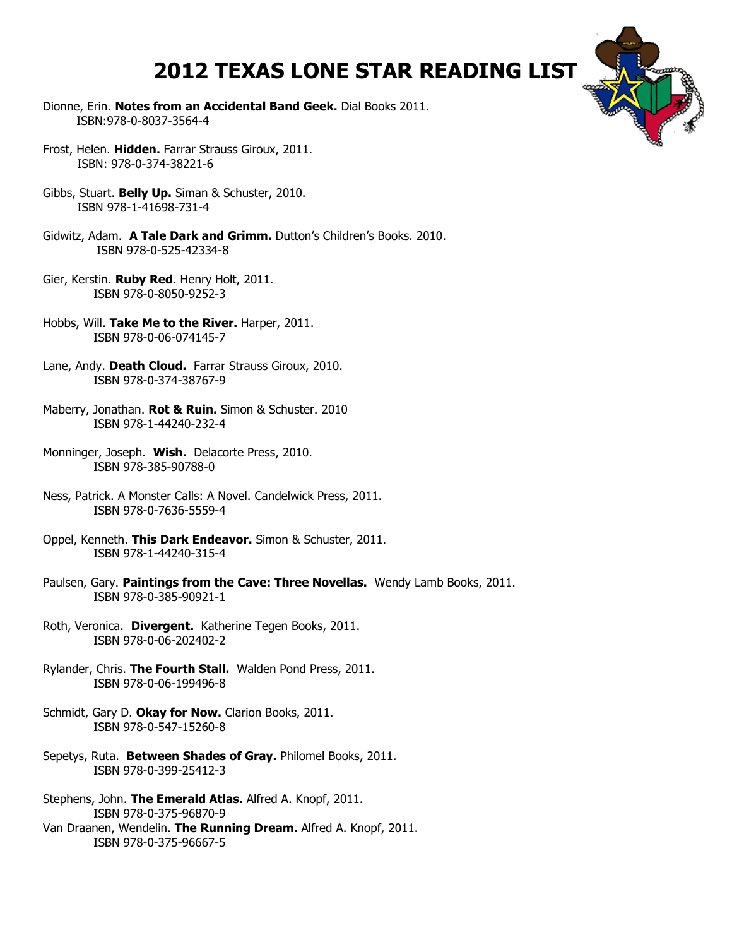## **2012 TEXAS LONE STAR READING LIST**

- Dionne, Erin. **Notes from an Accidental Band Geek.** Dial Books 2011. ISBN:978-0-8037-3564-4
- Frost, Helen. **Hidden.** Farrar Strauss Giroux, 2011. ISBN: 978-0-374-38221-6
- Gibbs, Stuart. **Belly Up.** Siman & Schuster, 2010. ISBN 978-1-41698-731-4
- Gidwitz, Adam. **A Tale Dark and Grimm.** Dutton's Children's Books. 2010. ISBN 978-0-525-42334-8
- Gier, Kerstin. **Ruby Red**. Henry Holt, 2011. ISBN 978-0-8050-9252-3
- Hobbs, Will. **Take Me to the River.** Harper, 2011. ISBN 978-0-06-074145-7
- Lane, Andy. **Death Cloud.** Farrar Strauss Giroux, 2010. ISBN 978-0-374-38767-9
- Maberry, Jonathan. **Rot & Ruin.** Simon & Schuster. 2010 ISBN 978-1-44240-232-4
- Monninger, Joseph. **Wish.** Delacorte Press, 2010. ISBN 978-385-90788-0
- Ness, Patrick. A Monster Calls: A Novel. Candelwick Press, 2011. ISBN 978-0-7636-5559-4
- Oppel, Kenneth. **This Dark Endeavor.** Simon & Schuster, 2011. ISBN 978-1-44240-315-4
- Paulsen, Gary. **Paintings from the Cave: Three Novellas.** Wendy Lamb Books, 2011. ISBN 978-0-385-90921-1
- Roth, Veronica. **Divergent.** Katherine Tegen Books, 2011. ISBN 978-0-06-202402-2
- Rylander, Chris. **The Fourth Stall.** Walden Pond Press, 2011. ISBN 978-0-06-199496-8
- Schmidt, Gary D. **Okay for Now.** Clarion Books, 2011. ISBN 978-0-547-15260-8
- Sepetys, Ruta. **Between Shades of Gray.** Philomel Books, 2011. ISBN 978-0-399-25412-3
- Stephens, John. **The Emerald Atlas.** Alfred A. Knopf, 2011. ISBN 978-0-375-96870-9 Van Draanen, Wendelin. **The Running Dream.** Alfred A. Knopf, 2011. ISBN 978-0-375-96667-5